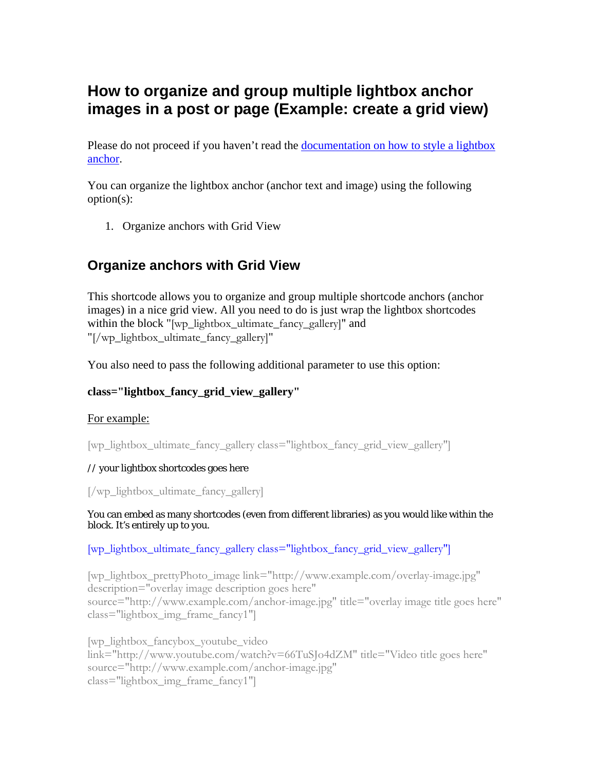# **How to organize and group multiple lightbox anchor images in a post or page (Example: create a grid view)**

Please do not proceed if you haven't read the documentation on how to style a lightbox [anchor.](http://www.tipsandtricks-hq.com/wp-affiliate-link-manager/wp-content/uploads/wp-lightbox-stuff/docs/lightbox-ultimate-fancy-anchor-styles.pdf)

You can organize the lightbox anchor (anchor text and image) using the following option(s):

1. Organize anchors with Grid View

## **Organize anchors with Grid View**

This shortcode allows you to organize and group multiple shortcode anchors (anchor images) in a nice grid view. All you need to do is just wrap the lightbox shortcodes within the block "[wp\_lightbox\_ultimate\_fancy\_gallery]" and "[/wp\_lightbox\_ultimate\_fancy\_gallery]"

You also need to pass the following additional parameter to use this option:

#### **class="lightbox\_fancy\_grid\_view\_gallery"**

#### For example:

[wp\_lightbox\_ultimate\_fancy\_gallery class="lightbox\_fancy\_grid\_view\_gallery"]

#### // your lightbox shortcodes goes here

[/wp\_lightbox\_ultimate\_fancy\_gallery]

You can embed as many shortcodes (even from different libraries) as you would like within the block. It's entirely up to you.

[wp\_lightbox\_ultimate\_fancy\_gallery class="lightbox\_fancy\_grid\_view\_gallery"]

[wp\_lightbox\_prettyPhoto\_image link="http://www.example.com/overlay-image.jpg" description="overlay image description goes here" source="http://www.example.com/anchor-image.jpg" title="overlay image title goes here" class="lightbox\_img\_frame\_fancy1"]

[wp\_lightbox\_fancybox\_youtube\_video link="http://www.youtube.com/watch?v=66TuSJo4dZM" title="Video title goes here" source="http://www.example.com/anchor-image.jpg" class="lightbox\_img\_frame\_fancy1"]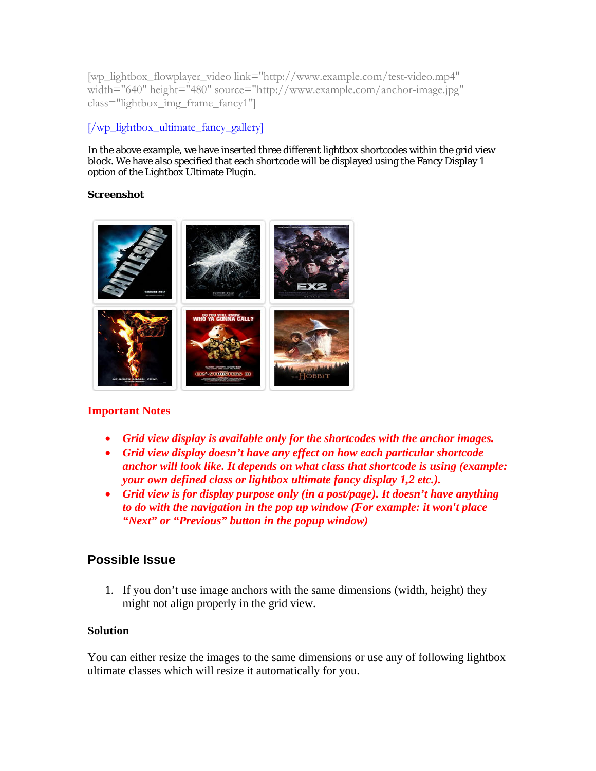[wp\_lightbox\_flowplayer\_video link="http://www.example.com/test-video.mp4" width="640" height="480" source="http://www.example.com/anchor-image.jpg" class="lightbox\_img\_frame\_fancy1"]

## [/wp\_lightbox\_ultimate\_fancy\_gallery]

In the above example, we have inserted three different lightbox shortcodes within the grid view block. We have also specified that each shortcode will be displayed using the Fancy Display 1 option of the Lightbox Ultimate Plugin.

#### **Screenshot**



## **Important Notes**

- *Grid view display is available only for the shortcodes with the anchor images.*
- *Grid view display doesn't have any effect on how each particular shortcode anchor will look like. It depends on what class that shortcode is using (example: your own defined class or lightbox ultimate fancy display 1,2 etc.).*
- *Grid view is for display purpose only (in a post/page). It doesn't have anything to do with the navigation in the pop up window (For example: it won't place "Next" or "Previous" button in the popup window)*

## **Possible Issue**

1. If you don't use image anchors with the same dimensions (width, height) they might not align properly in the grid view.

#### **Solution**

You can either resize the images to the same dimensions or use any of following lightbox ultimate classes which will resize it automatically for you.